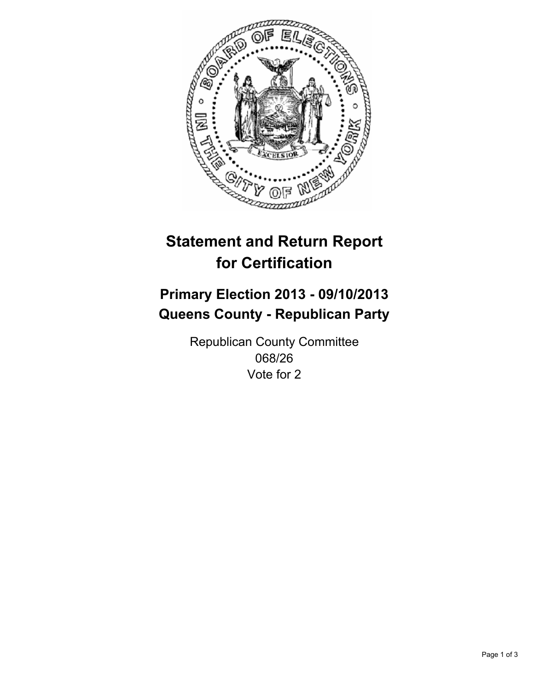

# **Statement and Return Report for Certification**

# **Primary Election 2013 - 09/10/2013 Queens County - Republican Party**

Republican County Committee 068/26 Vote for 2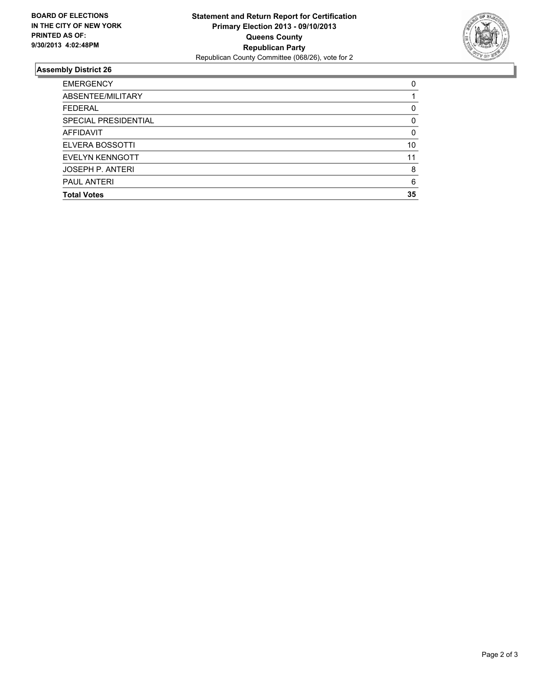

## **Assembly District 26**

| 0        |
|----------|
|          |
| 0        |
| 0        |
| $\Omega$ |
| 10       |
| 11       |
| 8        |
| 6        |
| 35       |
|          |